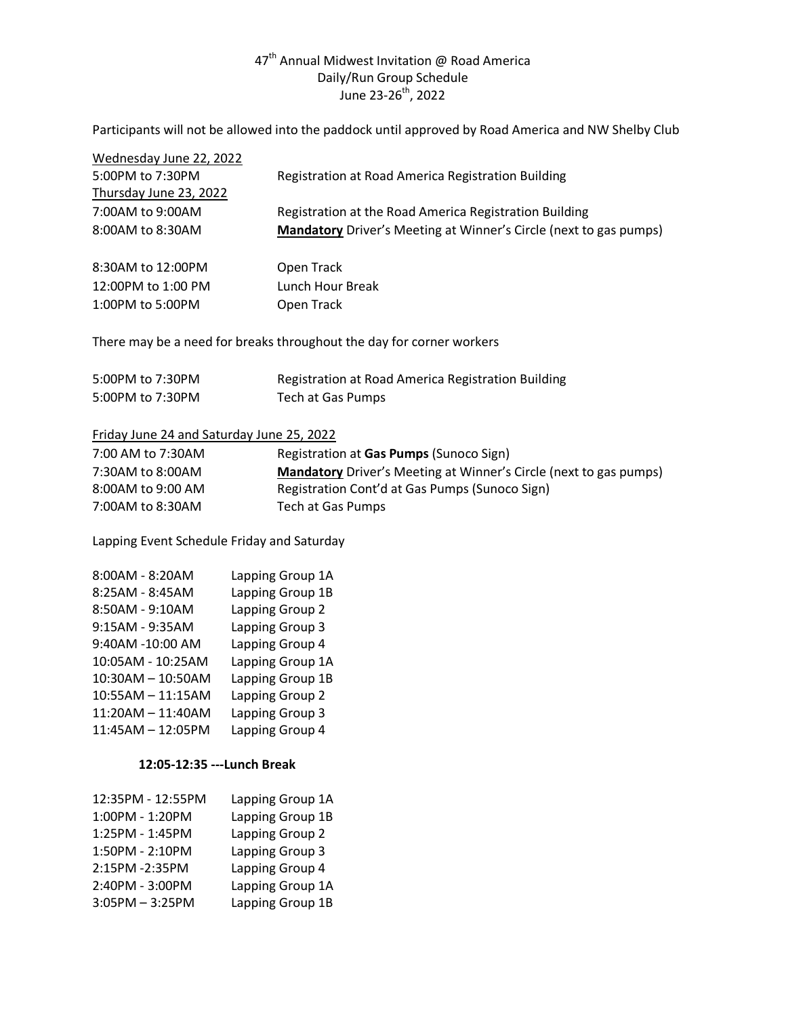# $47^{\text{th}}$  Annual Midwest Invitation @ Road America Daily/Run Group Schedule June 23-26<sup>th</sup>, 2022

Participants will not be allowed into the paddock until approved by Road America and NW Shelby Club

| Wednesday June 22, 2022                                              |                                                                          |  |
|----------------------------------------------------------------------|--------------------------------------------------------------------------|--|
| 5:00PM to 7:30PM                                                     | Registration at Road America Registration Building                       |  |
| Thursday June 23, 2022                                               |                                                                          |  |
| 7:00AM to 9:00AM                                                     | Registration at the Road America Registration Building                   |  |
| 8:00AM to 8:30AM                                                     | <b>Mandatory</b> Driver's Meeting at Winner's Circle (next to gas pumps) |  |
| 8:30AM to 12:00PM                                                    | Open Track                                                               |  |
| 12:00PM to 1:00 PM                                                   | Lunch Hour Break                                                         |  |
| 1:00PM to 5:00PM                                                     | Open Track                                                               |  |
| There may be a need for breaks throughout the day for corner workers |                                                                          |  |
| 5:00PM to 7:30PM                                                     | Registration at Road America Registration Building                       |  |
| 5:00PM to 7:30PM                                                     | Tech at Gas Pumps                                                        |  |
| Friday June 24 and Saturday June 25, 2022                            |                                                                          |  |
| 7:00 AM to 7:30AM                                                    | Registration at Gas Pumps (Sunoco Sign)                                  |  |
| 7:30AM to 8:00AM                                                     | Mandatory Driver's Meeting at Winner's Circle (next to gas pumps)        |  |
| 8:00AM to 9:00 AM                                                    | Registration Cont'd at Gas Pumps (Sunoco Sign)                           |  |
| 7:00AM to 8:30AM                                                     | Tech at Gas Pumps                                                        |  |

Lapping Event Schedule Friday and Saturday

| 8:00AM - 8:20AM   | Lapping Group 1A |
|-------------------|------------------|
| 8:25AM - 8:45AM   | Lapping Group 1B |
| 8:50AM - 9:10AM   | Lapping Group 2  |
| 9:15AM - 9:35AM   | Lapping Group 3  |
| 9:40AM -10:00 AM  | Lapping Group 4  |
| 10:05AM - 10:25AM | Lapping Group 1A |
| 10:30AM - 10:50AM | Lapping Group 1B |
| 10:55AM - 11:15AM | Lapping Group 2  |
| 11:20AM - 11:40AM | Lapping Group 3  |
| 11:45AM - 12:05PM | Lapping Group 4  |

#### **12:05-12:35 ---Lunch Break**

| 12:35PM - 12:55PM | Lapping Group 1A |
|-------------------|------------------|
| 1:00PM - 1:20PM   | Lapping Group 1B |
| 1:25PM - 1:45PM   | Lapping Group 2  |
| 1:50PM - 2:10PM   | Lapping Group 3  |
| 2:15PM -2:35PM    | Lapping Group 4  |
| 2:40PM - 3:00PM   | Lapping Group 1A |
| $3:05PM - 3:25PM$ | Lapping Group 1B |